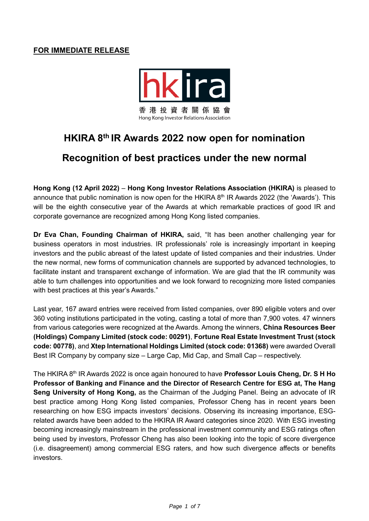### **FOR IMMEDIATE RELEASE**



# **HKIRA 8 th IR Awards 2022 now open for nomination**

## **Recognition of best practices under the new normal**

**Hong Kong (12 April 2022)** – **Hong Kong Investor Relations Association (HKIRA)** is pleased to announce that public nomination is now open for the HKIRA 8<sup>th</sup> IR Awards 2022 (the 'Awards'). This will be the eighth consecutive year of the Awards at which remarkable practices of good IR and corporate governance are recognized among Hong Kong listed companies.

**Dr Eva Chan, Founding Chairman of HKIRA,** said, "It has been another challenging year for business operators in most industries. IR professionals' role is increasingly important in keeping investors and the public abreast of the latest update of listed companies and their industries. Under the new normal, new forms of communication channels are supported by advanced technologies, to facilitate instant and transparent exchange of information. We are glad that the IR community was able to turn challenges into opportunities and we look forward to recognizing more listed companies with best practices at this year's Awards."

Last year, 167 award entries were received from listed companies, over 890 eligible voters and over 360 voting institutions participated in the voting, casting a total of more than 7,900 votes. 47 winners from various categories were recognized at the Awards. Among the winners, **China Resources Beer (Holdings) Company Limited (stock code: 00291)**, **Fortune Real Estate Investment Trust (stock code: 00778)**, and **Xtep International Holdings Limited (stock code: 01368)** were awarded Overall Best IR Company by company size – Large Cap, Mid Cap, and Small Cap – respectively.

The HKIRA 8<sup>th</sup> IR Awards 2022 is once again honoured to have **Professor Louis Cheng, Dr. S H Ho Professor of Banking and Finance and the Director of Research Centre for ESG at, The Hang Seng University of Hong Kong,** as the Chairman of the Judging Panel. Being an advocate of IR best practice among Hong Kong listed companies, Professor Cheng has in recent years been researching on how ESG impacts investors' decisions. Observing its increasing importance, ESGrelated awards have been added to the HKIRA IR Award categories since 2020. With ESG investing becoming increasingly mainstream in the professional investment community and ESG ratings often being used by investors, Professor Cheng has also been looking into the topic of score divergence (i.e. disagreement) among commercial ESG raters, and how such divergence affects or benefits investors.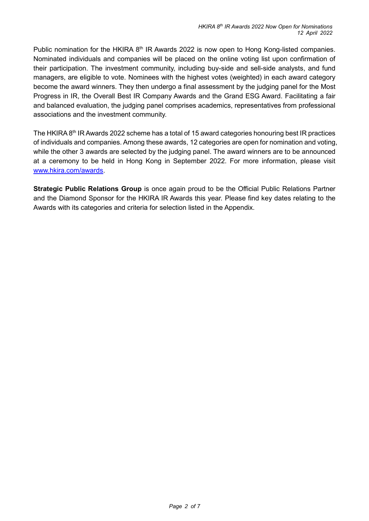Public nomination for the HKIRA 8<sup>th</sup> IR Awards 2022 is now open to Hong Kong-listed companies. Nominated individuals and companies will be placed on the online voting list upon confirmation of their participation. The investment community, including buy-side and sell-side analysts, and fund managers, are eligible to vote. Nominees with the highest votes (weighted) in each award category become the award winners. They then undergo a final assessment by the judging panel for the Most Progress in IR, the Overall Best IR Company Awards and the Grand ESG Award. Facilitating a fair and balanced evaluation, the judging panel comprises academics, representatives from professional associations and the investment community.

The HKIRA 8<sup>th</sup> IR Awards 2022 scheme has a total of 15 award categories honouring best IR practices of individuals and companies. Among these awards, 12 categories are open for nomination and voting, while the other 3 awards are selected by the judging panel. The award winners are to be announced at a ceremony to be held in Hong Kong in September 2022. For more information, please visit [www.hkira.com/awards.](http://www.hkira.com/awards)

**Strategic Public Relations Group** is once again proud to be the Official Public Relations Partner and the Diamond Sponsor for the HKIRA IR Awards this year. Please find key dates relating to the Awards with its categories and criteria for selection listed in the Appendix.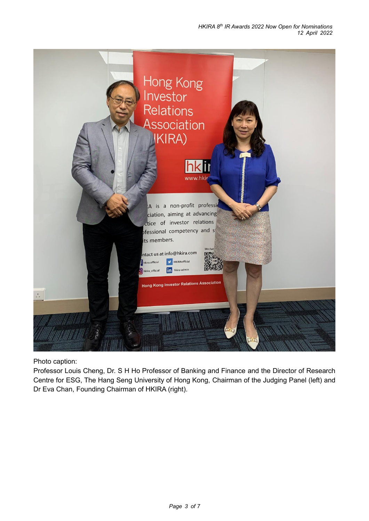

Photo caption:

Professor Louis Cheng, Dr. S H Ho Professor of Banking and Finance and the Director of Research Centre for ESG, The Hang Seng University of Hong Kong, Chairman of the Judging Panel (left) and Dr Eva Chan, Founding Chairman of HKIRA (right).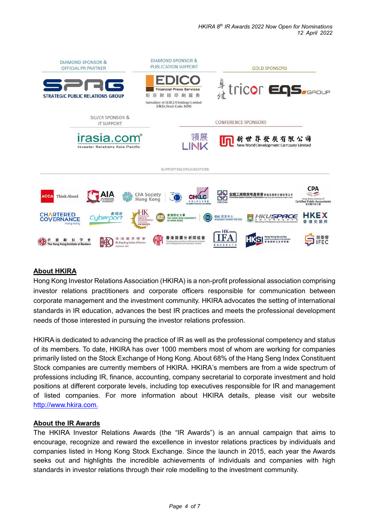

### **About HKIRA**

Hong Kong Investor Relations Association (HKIRA) is a non-profit professional association comprising investor relations practitioners and corporate officers responsible for communication between corporate management and the investment community. HKIRA advocates the setting of international standards in IR education, advances the best IR practices and meets the professional development needs of those interested in pursuing the investor relations profession.

HKIRA is dedicated to advancing the practice of IR as well as the professional competency and status of its members. To date, HKIRA has over 1000 members most of whom are working for companies primarily listed on the Stock Exchange of Hong Kong. About 68% of the Hang Seng Index Constituent Stock companies are currently members of HKIRA. HKIRA's members are from a wide spectrum of professions including IR, finance, accounting, company secretarial to corporate investment and hold positions at different corporate levels, including top executives responsible for IR and management of listed companies. For more information about HKIRA details, please visit our website [http://www.hkira.com.](http://www.hkira.com/)

### **About the IR Awards**

The HKIRA Investor Relations Awards (the "IR Awards") is an annual campaign that aims to encourage, recognize and reward the excellence in investor relations practices by individuals and companies listed in Hong Kong Stock Exchange. Since the launch in 2015, each year the Awards seeks out and highlights the incredible achievements of individuals and companies with high standards in investor relations through their role modelling to the investment community.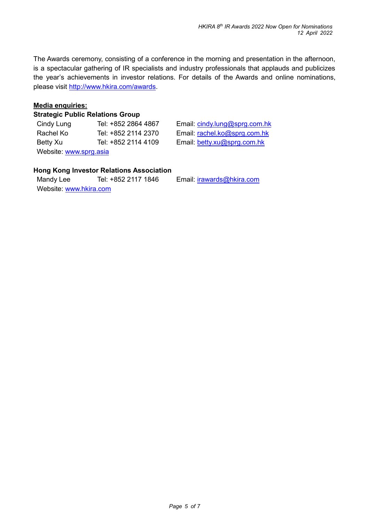The Awards ceremony, consisting of a conference in the morning and presentation in the afternoon, is a spectacular gathering of IR specialists and industry professionals that applauds and publicizes the year's achievements in investor relations. For details of the Awards and online nominations, please visit [http://www.hkira.com/awards.](http://www.hkira.com/awards)

#### **Media enquiries:**

#### **Strategic Public Relations Group**

| Cindy Lung             | Tel: +852 2864 4867 |  |
|------------------------|---------------------|--|
| Rachel Ko              | Tel: +852 2114 2370 |  |
| Betty Xu               | Tel: +852 2114 4109 |  |
| Website: www.sprg.asia |                     |  |

Email: [cindy.lung@sprg.com.hk](mailto:cindy.lung@sprg.com.hk) Email: [rachel.ko@sprg.com.hk](mailto:rachel.ko@sprg.com.hk) Email: [betty.xu@sprg.com.hk](mailto:betty.xu@sprg.com.hk)

#### **Hong Kong Investor Relations Association**

Mandy Lee Tel: +852 2117 1846 Email: irawards@hkira.com Website: [www.hkira.com](http://www.hkira.com/)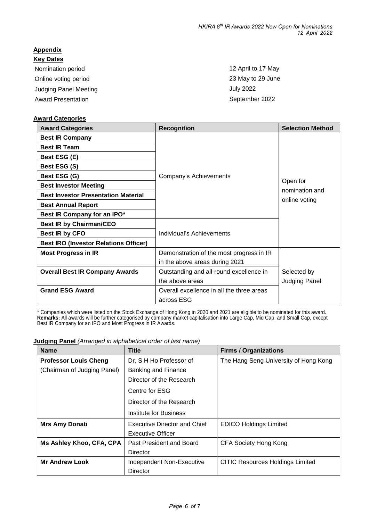## **Appendix**

**Key Dates** Nomination period 12 April to 17 May Online voting period 23 May to 29 June Judging Panel Meeting **July 2022** Award Presentation **September 2022** 

#### **Award Categories**

| <b>Award Categories</b>                      | <b>Recognition</b>                        | <b>Selection Method</b>    |
|----------------------------------------------|-------------------------------------------|----------------------------|
| <b>Best IR Company</b>                       |                                           |                            |
| <b>Best IR Team</b>                          |                                           |                            |
| Best ESG (E)                                 |                                           |                            |
| Best ESG (S)                                 |                                           |                            |
| Best ESG (G)                                 | Company's Achievements                    |                            |
| <b>Best Investor Meeting</b>                 |                                           | Open for<br>nomination and |
| <b>Best Investor Presentation Material</b>   |                                           | online voting              |
| <b>Best Annual Report</b>                    |                                           |                            |
| Best IR Company for an IPO*                  |                                           |                            |
| <b>Best IR by Chairman/CEO</b>               |                                           |                            |
| Best IR by CFO                               | Individual's Achievements                 |                            |
| <b>Best IRO (Investor Relations Officer)</b> |                                           |                            |
| <b>Most Progress in IR</b>                   | Demonstration of the most progress in IR  |                            |
|                                              | in the above areas during 2021            |                            |
| <b>Overall Best IR Company Awards</b>        | Outstanding and all-round excellence in   | Selected by                |
|                                              | the above areas                           | Judging Panel              |
| <b>Grand ESG Award</b>                       | Overall excellence in all the three areas |                            |
|                                              | across ESG                                |                            |

\* Companies which were listed on the Stock Exchange of Hong Kong in 2020 and 2021 are eligible to be nominated for this award. **Remarks:** All awards will be further categorised by company market capitalisation into Large Cap, Mid Cap, and Small Cap, except Best IR Company for an IPO and Most Progress in IR Awards.

**Judging Panel** *(Arranged in alphabetical order of last name)*

| <b>Name</b>                  | <b>Title</b>                        | <b>Firms / Organizations</b>            |
|------------------------------|-------------------------------------|-----------------------------------------|
| <b>Professor Louis Cheng</b> | Dr. S H Ho Professor of             | The Hang Seng University of Hong Kong   |
| (Chairman of Judging Panel)  | Banking and Finance                 |                                         |
|                              | Director of the Research            |                                         |
|                              | Centre for ESG                      |                                         |
|                              | Director of the Research            |                                         |
|                              | Institute for Business              |                                         |
| <b>Mrs Amy Donati</b>        | <b>Executive Director and Chief</b> | <b>EDICO Holdings Limited</b>           |
|                              | Executive Officer                   |                                         |
| Ms Ashley Khoo, CFA, CPA     | Past President and Board            | CFA Society Hong Kong                   |
|                              | Director                            |                                         |
| <b>Mr Andrew Look</b>        | Independent Non-Executive           | <b>CITIC Resources Holdings Limited</b> |
|                              | Director                            |                                         |